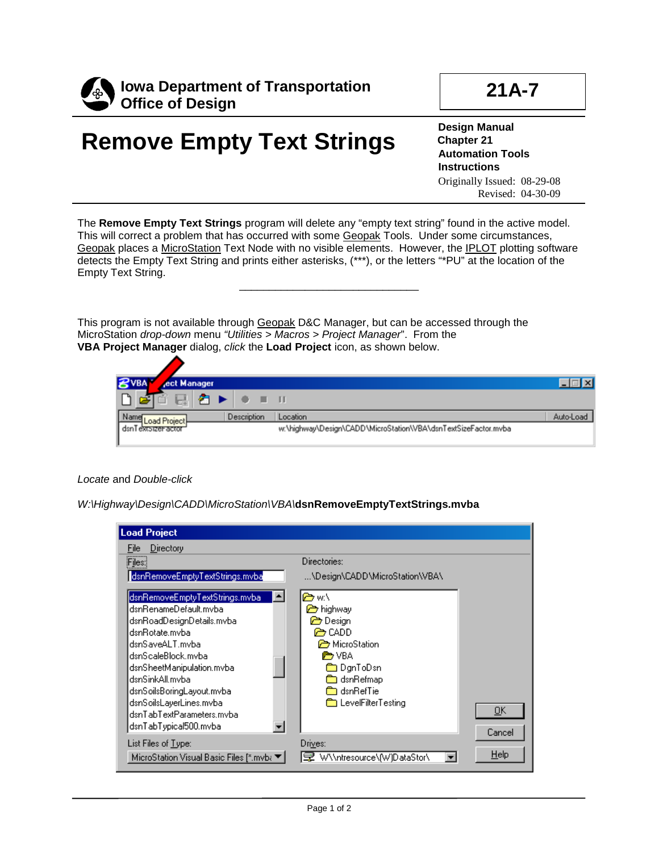

## **21A-7**

## **Remove Empty Text Strings**

**Design Manual Chapter 21 Automation Tools Instructions** Originally Issued: 08-29-08 Revised: 04-30-09

The **Remove Empty Text Strings** program will delete any "empty text string" found in the active model. This will correct a problem that has occurred with some Geopak Tools. Under some circumstances, Geopak places a MicroStation Text Node with no visible elements. However, the IPLOT plotting software detects the Empty Text String and prints either asterisks, (\*\*\*), or the letters "\*PU" at the location of the Empty Text String.

\_\_\_\_\_\_\_\_\_\_\_\_\_\_\_\_\_\_\_\_\_\_\_\_\_\_\_\_\_\_

This program is not available through Geopak D&C Manager, but can be accessed through the MicroStation *drop-down* menu *"Utilities > Macros > Project Manager*". From the **VBA Project Manager** dialog, *click* the **Load Project** icon, as shown below.



## *Locate* and *Double-click*

*W:\Highway\Design\CADD\MicroStation\VBA\***dsnRemoveEmptyTextStrings.mvba**

| <b>Load Project</b>                                                                                                                                                                                                                                                                                             |                                                                                                                                                           |              |
|-----------------------------------------------------------------------------------------------------------------------------------------------------------------------------------------------------------------------------------------------------------------------------------------------------------------|-----------------------------------------------------------------------------------------------------------------------------------------------------------|--------------|
| Directory<br>File                                                                                                                                                                                                                                                                                               |                                                                                                                                                           |              |
| Files:                                                                                                                                                                                                                                                                                                          | Directories:                                                                                                                                              |              |
| dsnRemoveEmptyTextStrings.mvba                                                                                                                                                                                                                                                                                  | \Design\CADD\MicroStation\VBA\                                                                                                                            |              |
| dsnRemoveEmptyTextStrings.mvba_<br>dsnRenameDefault.mvba<br>dsnRoadDesignDetails.mvba<br>dsnRotate.mvba<br>dsnSaveALT.mvba<br>dsnScaleBlock.mvba.<br>dsnSheetManipulation.mvba<br>dsnSinkAll.mvba<br>dsnSoilsBoringLayout.mvba<br>dsnSoilsLayerLines.mvba<br>dsnTabTextParameters.mvba<br>dsnTabTypical500.mvba | <del>তি</del> w:\<br>highway<br><b>Co</b> Design<br>@⇒CADD<br>MicroStation<br>rnon VBA<br>Dan ToDsn<br>dsnRefmap<br>े adsn RefTie<br>▒ LevelFilterTesting | 0K<br>Cancel |
| List Files of <u>Type:</u><br>MicroStation Visual Basic Files [*.mvb≀ ▼]                                                                                                                                                                                                                                        | Drives:<br>W\\ntresource\fW]DataStor\                                                                                                                     | Help         |